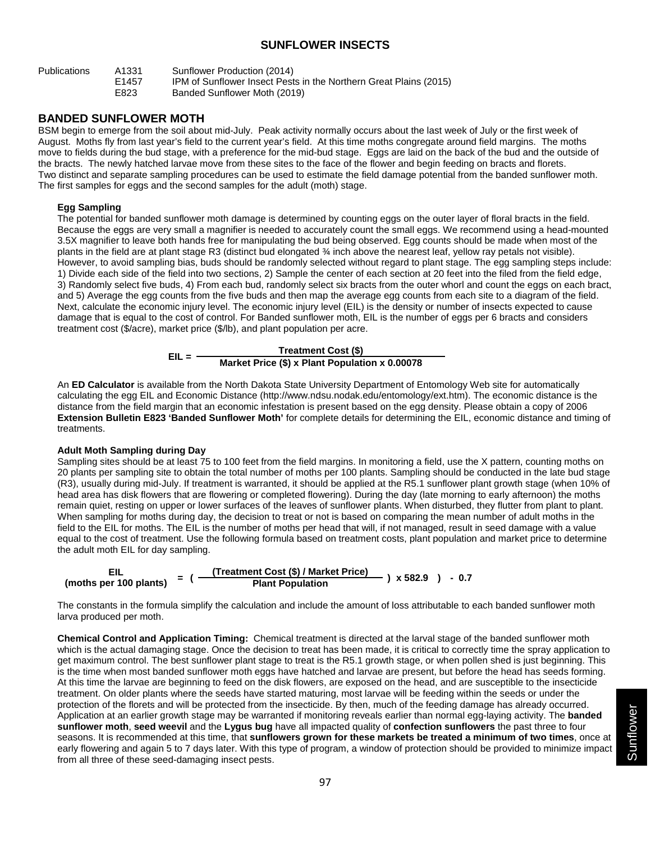# **SUNFLOWER INSECTS**

| <b>Publications</b> | A1331             | Sunflower Production (2014)                                       |
|---------------------|-------------------|-------------------------------------------------------------------|
|                     | F <sub>1457</sub> | IPM of Sunflower Insect Pests in the Northern Great Plains (2015) |
|                     | E823              | Banded Sunflower Moth (2019)                                      |

## **BANDED SUNFLOWER MOTH**

BSM begin to emerge from the soil about mid-July. Peak activity normally occurs about the last week of July or the first week of August. Moths fly from last year's field to the current year's field. At this time moths congregate around field margins. The moths move to fields during the bud stage, with a preference for the mid-bud stage. Eggs are laid on the back of the bud and the outside of the bracts. The newly hatched larvae move from these sites to the face of the flower and begin feeding on bracts and florets. Two distinct and separate sampling procedures can be used to estimate the field damage potential from the banded sunflower moth. The first samples for eggs and the second samples for the adult (moth) stage.

#### **Egg Sampling**

The potential for banded sunflower moth damage is determined by counting eggs on the outer layer of floral bracts in the field. Because the eggs are very small a magnifier is needed to accurately count the small eggs. We recommend using a head-mounted 3.5X magnifier to leave both hands free for manipulating the bud being observed. Egg counts should be made when most of the plants in the field are at plant stage R3 (distinct bud elongated ¾ inch above the nearest leaf, yellow ray petals not visible). However, to avoid sampling bias, buds should be randomly selected without regard to plant stage. The egg sampling steps include: 1) Divide each side of the field into two sections, 2) Sample the center of each section at 20 feet into the filed from the field edge, 3) Randomly select five buds, 4) From each bud, randomly select six bracts from the outer whorl and count the eggs on each bract, and 5) Average the egg counts from the five buds and then map the average egg counts from each site to a diagram of the field. Next, calculate the economic injury level. The economic injury level (EIL) is the density or number of insects expected to cause damage that is equal to the cost of control. For Banded sunflower moth, EIL is the number of eggs per 6 bracts and considers treatment cost (\$/acre), market price (\$/lb), and plant population per acre.



An **ED Calculator** is available from the North Dakota State University Department of Entomology Web site for automatically calculating the egg EIL and Economic Distance (http://www.ndsu.nodak.edu/entomology/ext.htm). The economic distance is the distance from the field margin that an economic infestation is present based on the egg density. Please obtain a copy of 2006 **Extension Bulletin E823 'Banded Sunflower Moth'** for complete details for determining the EIL, economic distance and timing of treatments.

#### **Adult Moth Sampling during Day**

Sampling sites should be at least 75 to 100 feet from the field margins. In monitoring a field, use the X pattern, counting moths on 20 plants per sampling site to obtain the total number of moths per 100 plants. Sampling should be conducted in the late bud stage (R3), usually during mid-July. If treatment is warranted, it should be applied at the R5.1 sunflower plant growth stage (when 10% of head area has disk flowers that are flowering or completed flowering). During the day (late morning to early afternoon) the moths remain quiet, resting on upper or lower surfaces of the leaves of sunflower plants. When disturbed, they flutter from plant to plant. When sampling for moths during day, the decision to treat or not is based on comparing the mean number of adult moths in the field to the EIL for moths. The EIL is the number of moths per head that will, if not managed, result in seed damage with a value equal to the cost of treatment. Use the following formula based on treatment costs, plant population and market price to determine the adult moth EIL for day sampling.



The constants in the formula simplify the calculation and include the amount of loss attributable to each banded sunflower moth larva produced per moth.

**Chemical Control and Application Timing:** Chemical treatment is directed at the larval stage of the banded sunflower moth which is the actual damaging stage. Once the decision to treat has been made, it is critical to correctly time the spray application to get maximum control. The best sunflower plant stage to treat is the R5.1 growth stage, or when pollen shed is just beginning. This is the time when most banded sunflower moth eggs have hatched and larvae are present, but before the head has seeds forming. At this time the larvae are beginning to feed on the disk flowers, are exposed on the head, and are susceptible to the insecticide treatment. On older plants where the seeds have started maturing, most larvae will be feeding within the seeds or under the protection of the florets and will be protected from the insecticide. By then, much of the feeding damage has already occurred. Application at an earlier growth stage may be warranted if monitoring reveals earlier than normal egg-laying activity. The **banded sunflower moth**, **seed weevil** and the **Lygus bug** have all impacted quality of **confection sunflowers** the past three to four seasons. It is recommended at this time, that **sunflowers grown for these markets be treated a minimum of two times**, once at early flowering and again 5 to 7 days later. With this type of program, a window of protection should be provided to minimize impact from all three of these seed-damaging insect pests.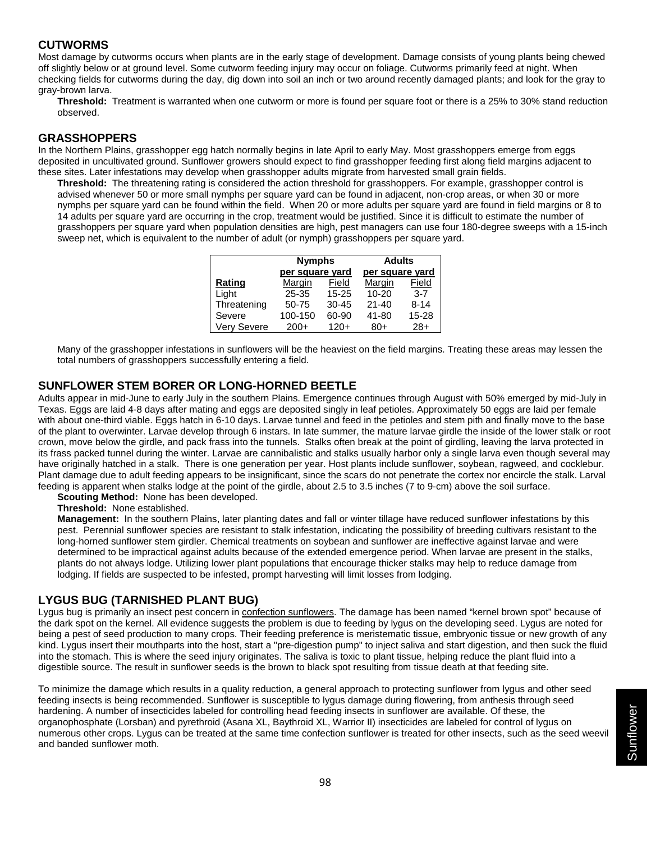## **CUTWORMS**

Most damage by cutworms occurs when plants are in the early stage of development. Damage consists of young plants being chewed off slightly below or at ground level. Some cutworm feeding injury may occur on foliage. Cutworms primarily feed at night. When checking fields for cutworms during the day, dig down into soil an inch or two around recently damaged plants; and look for the gray to gray-brown larva.

**Threshold:** Treatment is warranted when one cutworm or more is found per square foot or there is a 25% to 30% stand reduction observed.

### **GRASSHOPPERS**

In the Northern Plains, grasshopper egg hatch normally begins in late April to early May. Most grasshoppers emerge from eggs deposited in uncultivated ground. Sunflower growers should expect to find grasshopper feeding first along field margins adjacent to these sites. Later infestations may develop when grasshopper adults migrate from harvested small grain fields.

**Threshold:** The threatening rating is considered the action threshold for grasshoppers. For example, grasshopper control is advised whenever 50 or more small nymphs per square yard can be found in adjacent, non-crop areas, or when 30 or more nymphs per square yard can be found within the field. When 20 or more adults per square yard are found in field margins or 8 to 14 adults per square yard are occurring in the crop, treatment would be justified. Since it is difficult to estimate the number of grasshoppers per square yard when population densities are high, pest managers can use four 180-degree sweeps with a 15-inch sweep net, which is equivalent to the number of adult (or nymph) grasshoppers per square yard.

|             | <b>Nymphs</b>   |           | <b>Adults</b>   |          |  |  |  |  |
|-------------|-----------------|-----------|-----------------|----------|--|--|--|--|
|             | per square yard |           | per square yard |          |  |  |  |  |
| Rating      | Margin          | Field     | Margin          | Field    |  |  |  |  |
| Light       | $25 - 35$       | $15 - 25$ | $10 - 20$       | $3 - 7$  |  |  |  |  |
| Threatening | $50 - 75$       | $30 - 45$ | $21 - 40$       | $8 - 14$ |  |  |  |  |
| Severe      | 100-150         | 60-90     | 41-80           | 15-28    |  |  |  |  |
| Very Severe | $200+$          | $120+$    | $80+$           | $28+$    |  |  |  |  |

Many of the grasshopper infestations in sunflowers will be the heaviest on the field margins. Treating these areas may lessen the total numbers of grasshoppers successfully entering a field.

## **SUNFLOWER STEM BORER OR LONG-HORNED BEETLE**

Adults appear in mid-June to early July in the southern Plains. Emergence continues through August with 50% emerged by mid-July in Texas. Eggs are laid 4-8 days after mating and eggs are deposited singly in leaf petioles. Approximately 50 eggs are laid per female with about one-third viable. Eggs hatch in 6-10 days. Larvae tunnel and feed in the petioles and stem pith and finally move to the base of the plant to overwinter. Larvae develop through 6 instars. In late summer, the mature larvae girdle the inside of the lower stalk or root crown, move below the girdle, and pack frass into the tunnels. Stalks often break at the point of girdling, leaving the larva protected in its frass packed tunnel during the winter. Larvae are cannibalistic and stalks usually harbor only a single larva even though several may have originally hatched in a stalk. There is one generation per year. Host plants include sunflower, soybean, ragweed, and cocklebur. Plant damage due to adult feeding appears to be insignificant, since the scars do not penetrate the cortex nor encircle the stalk. Larval feeding is apparent when stalks lodge at the point of the girdle, about 2.5 to 3.5 inches (7 to 9-cm) above the soil surface.

**Scouting Method:** None has been developed.

**Threshold:** None established.

**Management:** In the southern Plains, later planting dates and fall or winter tillage have reduced sunflower infestations by this pest. Perennial sunflower species are resistant to stalk infestation, indicating the possibility of breeding cultivars resistant to the long-horned sunflower stem girdler. Chemical treatments on soybean and sunflower are ineffective against larvae and were determined to be impractical against adults because of the extended emergence period. When larvae are present in the stalks, plants do not always lodge. Utilizing lower plant populations that encourage thicker stalks may help to reduce damage from lodging. If fields are suspected to be infested, prompt harvesting will limit losses from lodging.

### **LYGUS BUG (TARNISHED PLANT BUG)**

Lygus bug is primarily an insect pest concern in confection sunflowers. The damage has been named "kernel brown spot" because of the dark spot on the kernel. All evidence suggests the problem is due to feeding by lygus on the developing seed. Lygus are noted for being a pest of seed production to many crops. Their feeding preference is meristematic tissue, embryonic tissue or new growth of any kind. Lygus insert their mouthparts into the host, start a "pre-digestion pump" to inject saliva and start digestion, and then suck the fluid into the stomach. This is where the seed injury originates. The saliva is toxic to plant tissue, helping reduce the plant fluid into a digestible source. The result in sunflower seeds is the brown to black spot resulting from tissue death at that feeding site.

To minimize the damage which results in a quality reduction, a general approach to protecting sunflower from lygus and other seed feeding insects is being recommended. Sunflower is susceptible to lygus damage during flowering, from anthesis through seed hardening. A number of insecticides labeled for controlling head feeding insects in sunflower are available. Of these, the organophosphate (Lorsban) and pyrethroid (Asana XL, Baythroid XL, Warrior II) insecticides are labeled for control of lygus on numerous other crops. Lygus can be treated at the same time confection sunflower is treated for other insects, such as the seed weevil and banded sunflower moth.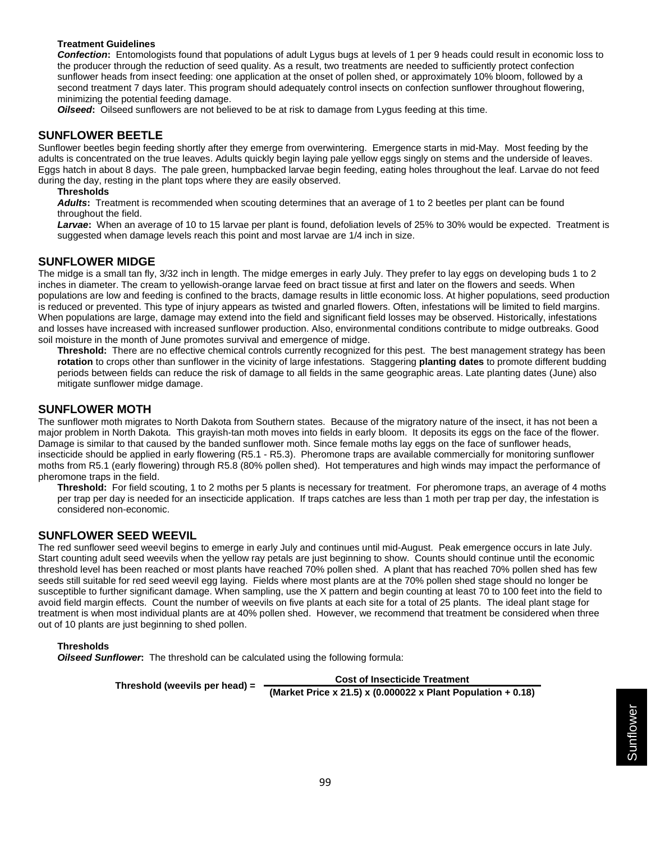#### **Treatment Guidelines**

*Confection***:** Entomologists found that populations of adult Lygus bugs at levels of 1 per 9 heads could result in economic loss to the producer through the reduction of seed quality. As a result, two treatments are needed to sufficiently protect confection sunflower heads from insect feeding: one application at the onset of pollen shed, or approximately 10% bloom, followed by a second treatment 7 days later. This program should adequately control insects on confection sunflower throughout flowering, minimizing the potential feeding damage.

*Oilseed***:** Oilseed sunflowers are not believed to be at risk to damage from Lygus feeding at this time.

# **SUNFLOWER BEETLE**

Sunflower beetles begin feeding shortly after they emerge from overwintering. Emergence starts in mid-May. Most feeding by the adults is concentrated on the true leaves. Adults quickly begin laying pale yellow eggs singly on stems and the underside of leaves. Eggs hatch in about 8 days. The pale green, humpbacked larvae begin feeding, eating holes throughout the leaf. Larvae do not feed during the day, resting in the plant tops where they are easily observed.

#### **Thresholds**

*Adults***:** Treatment is recommended when scouting determines that an average of 1 to 2 beetles per plant can be found throughout the field.

*Larvae***:** When an average of 10 to 15 larvae per plant is found, defoliation levels of 25% to 30% would be expected. Treatment is suggested when damage levels reach this point and most larvae are 1/4 inch in size.

### **SUNFLOWER MIDGE**

The midge is a small tan fly, 3/32 inch in length. The midge emerges in early July. They prefer to lay eggs on developing buds 1 to 2 inches in diameter. The cream to yellowish-orange larvae feed on bract tissue at first and later on the flowers and seeds. When populations are low and feeding is confined to the bracts, damage results in little economic loss. At higher populations, seed production is reduced or prevented. This type of injury appears as twisted and gnarled flowers. Often, infestations will be limited to field margins. When populations are large, damage may extend into the field and significant field losses may be observed. Historically, infestations and losses have increased with increased sunflower production. Also, environmental conditions contribute to midge outbreaks. Good soil moisture in the month of June promotes survival and emergence of midge.

**Threshold:** There are no effective chemical controls currently recognized for this pest. The best management strategy has been **rotation** to crops other than sunflower in the vicinity of large infestations. Staggering **planting dates** to promote different budding periods between fields can reduce the risk of damage to all fields in the same geographic areas. Late planting dates (June) also mitigate sunflower midge damage.

### **SUNFLOWER MOTH**

The sunflower moth migrates to North Dakota from Southern states. Because of the migratory nature of the insect, it has not been a major problem in North Dakota. This grayish-tan moth moves into fields in early bloom. It deposits its eggs on the face of the flower. Damage is similar to that caused by the banded sunflower moth. Since female moths lay eggs on the face of sunflower heads, insecticide should be applied in early flowering (R5.1 - R5.3). Pheromone traps are available commercially for monitoring sunflower moths from R5.1 (early flowering) through R5.8 (80% pollen shed). Hot temperatures and high winds may impact the performance of pheromone traps in the field.

**Threshold:** For field scouting, 1 to 2 moths per 5 plants is necessary for treatment. For pheromone traps, an average of 4 moths per trap per day is needed for an insecticide application. If traps catches are less than 1 moth per trap per day, the infestation is considered non-economic.

### **SUNFLOWER SEED WEEVIL**

The red sunflower seed weevil begins to emerge in early July and continues until mid-August. Peak emergence occurs in late July. Start counting adult seed weevils when the yellow ray petals are just beginning to show. Counts should continue until the economic threshold level has been reached or most plants have reached 70% pollen shed. A plant that has reached 70% pollen shed has few seeds still suitable for red seed weevil egg laying. Fields where most plants are at the 70% pollen shed stage should no longer be susceptible to further significant damage. When sampling, use the X pattern and begin counting at least 70 to 100 feet into the field to avoid field margin effects. Count the number of weevils on five plants at each site for a total of 25 plants. The ideal plant stage for treatment is when most individual plants are at 40% pollen shed. However, we recommend that treatment be considered when three out of 10 plants are just beginning to shed pollen.

#### **Thresholds**

*Oilseed Sunflower***:** The threshold can be calculated using the following formula:

**Threshold (weevils per head) = Cost of Insecticide Treatment (Market Price x 21.5) x (0.000022 x Plant Population + 0.18)**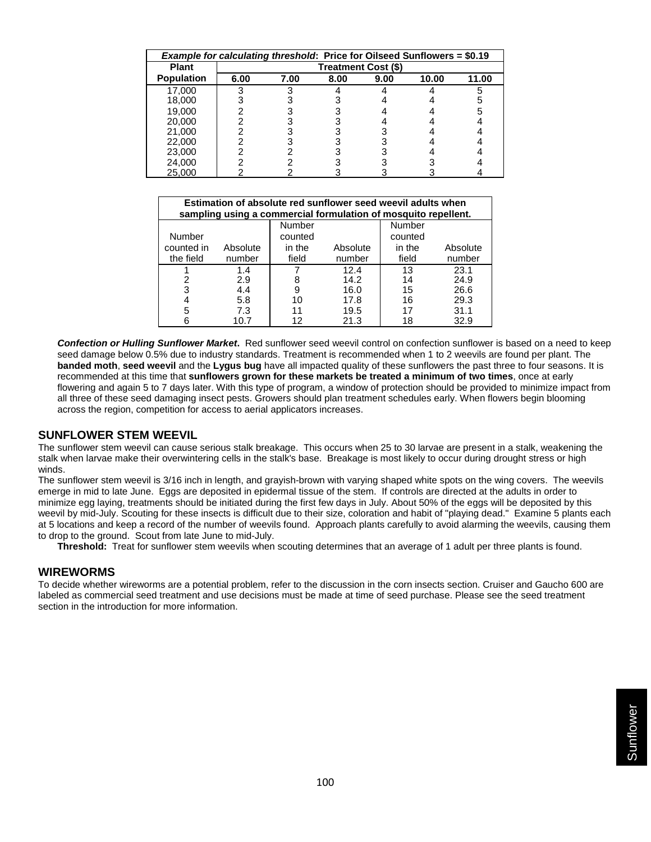| <b>Example for calculating threshold: Price for Oilseed Sunflowers = \$0.19</b> |                     |      |      |      |       |       |  |  |  |  |
|---------------------------------------------------------------------------------|---------------------|------|------|------|-------|-------|--|--|--|--|
| <b>Plant</b>                                                                    | Treatment Cost (\$) |      |      |      |       |       |  |  |  |  |
| <b>Population</b>                                                               | 6.00                | 7.00 | 8.00 | 9.00 | 10.00 | 11.00 |  |  |  |  |
| 17.000                                                                          |                     |      |      |      |       |       |  |  |  |  |
| 18,000                                                                          |                     |      |      |      |       |       |  |  |  |  |
| 19,000                                                                          |                     |      |      |      |       |       |  |  |  |  |
| 20,000                                                                          |                     |      |      |      |       |       |  |  |  |  |
| 21,000                                                                          |                     |      |      |      |       |       |  |  |  |  |
| 22,000                                                                          |                     |      |      |      |       |       |  |  |  |  |
| 23,000                                                                          |                     |      |      |      |       |       |  |  |  |  |
| 24,000                                                                          |                     |      |      |      |       |       |  |  |  |  |
| 25,000                                                                          |                     |      |      |      |       |       |  |  |  |  |

| Estimation of absolute red sunflower seed weevil adults when<br>sampling using a commercial formulation of mosquito repellent. |          |                   |          |                   |          |  |  |  |  |  |
|--------------------------------------------------------------------------------------------------------------------------------|----------|-------------------|----------|-------------------|----------|--|--|--|--|--|
| Number                                                                                                                         |          | Number<br>counted |          | Number<br>counted |          |  |  |  |  |  |
| counted in                                                                                                                     | Absolute | in the            | Absolute | in the            | Absolute |  |  |  |  |  |
| the field                                                                                                                      | number   | field             | number   | field             | number   |  |  |  |  |  |
|                                                                                                                                | 1.4      |                   | 12.4     | 13                | 23.1     |  |  |  |  |  |
| 2                                                                                                                              | 2.9      | 8                 | 14.2     | 14                | 24.9     |  |  |  |  |  |
| 3                                                                                                                              | 4.4      | 9                 | 16.0     | 15                | 26.6     |  |  |  |  |  |
| 4                                                                                                                              | 5.8      | 10                | 17.8     | 16                | 29.3     |  |  |  |  |  |
| 5                                                                                                                              | 7.3      | 11                | 19.5     |                   | 31.1     |  |  |  |  |  |
| 6                                                                                                                              | 10.7     | 12                | 21.3     | 18                | 32.9     |  |  |  |  |  |

*Confection or Hulling Sunflower Market***.** Red sunflower seed weevil control on confection sunflower is based on a need to keep seed damage below 0.5% due to industry standards. Treatment is recommended when 1 to 2 weevils are found per plant. The **banded moth**, **seed weevil** and the **Lygus bug** have all impacted quality of these sunflowers the past three to four seasons. It is recommended at this time that **sunflowers grown for these markets be treated a minimum of two times**, once at early flowering and again 5 to 7 days later. With this type of program, a window of protection should be provided to minimize impact from all three of these seed damaging insect pests. Growers should plan treatment schedules early. When flowers begin blooming across the region, competition for access to aerial applicators increases.

### **SUNFLOWER STEM WEEVIL**

The sunflower stem weevil can cause serious stalk breakage. This occurs when 25 to 30 larvae are present in a stalk, weakening the stalk when larvae make their overwintering cells in the stalk's base. Breakage is most likely to occur during drought stress or high winds.

The sunflower stem weevil is 3/16 inch in length, and grayish-brown with varying shaped white spots on the wing covers. The weevils emerge in mid to late June. Eggs are deposited in epidermal tissue of the stem. If controls are directed at the adults in order to minimize egg laying, treatments should be initiated during the first few days in July. About 50% of the eggs will be deposited by this weevil by mid-July. Scouting for these insects is difficult due to their size, coloration and habit of "playing dead." Examine 5 plants each at 5 locations and keep a record of the number of weevils found. Approach plants carefully to avoid alarming the weevils, causing them to drop to the ground. Scout from late June to mid-July.

**Threshold:** Treat for sunflower stem weevils when scouting determines that an average of 1 adult per three plants is found.

#### **WIREWORMS**

To decide whether wireworms are a potential problem, refer to the discussion in the corn insects section. Cruiser and Gaucho 600 are labeled as commercial seed treatment and use decisions must be made at time of seed purchase. Please see the seed treatment section in the introduction for more information.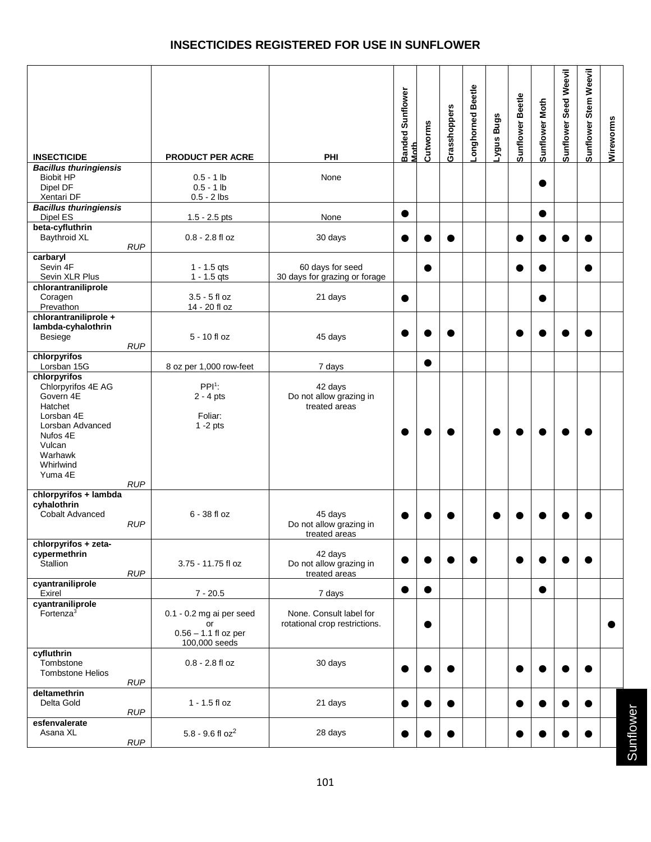# **INSECTICIDES REGISTERED FOR USE IN SUNFLOWER**

|                                                                                                                                                                     |                                                                             |                                                          | Banded Sunflower<br>Moth | Cutworms  | Grasshoppers | -onghorned Beetle | -ygus Bugs | Sunflower Beetle | Sunflower Moth | Sunflower Seed Weevil | Sunflower Stem Weevil | Wireworms |
|---------------------------------------------------------------------------------------------------------------------------------------------------------------------|-----------------------------------------------------------------------------|----------------------------------------------------------|--------------------------|-----------|--------------|-------------------|------------|------------------|----------------|-----------------------|-----------------------|-----------|
| <b>INSECTICIDE</b>                                                                                                                                                  | PRODUCT PER ACRE                                                            | PHI                                                      |                          |           |              |                   |            |                  |                |                       |                       |           |
| <b>Bacillus thuringiensis</b><br><b>Biobit HP</b><br>Dipel DF<br>Xentari DF                                                                                         | $0.5 - 1$ lb<br>$0.5 - 1$ lb<br>$0.5 - 2$ lbs                               | None                                                     |                          |           |              |                   |            |                  | 0              |                       |                       |           |
| <b>Bacillus thuringiensis</b><br>Dipel ES                                                                                                                           | $1.5 - 2.5$ pts                                                             | None                                                     | $\bullet$                |           |              |                   |            |                  | $\bullet$      |                       |                       |           |
| beta-cyfluthrin<br><b>Baythroid XL</b><br><b>RUP</b>                                                                                                                | $0.8 - 2.8$ fl oz                                                           | 30 days                                                  |                          |           |              |                   |            |                  |                |                       |                       |           |
| carbaryl<br>Sevin 4F<br>Sevin XLR Plus                                                                                                                              | $1 - 1.5$ qts<br>$1 - 1.5$ qts                                              | 60 days for seed<br>30 days for grazing or forage        |                          |           |              |                   |            |                  |                |                       |                       |           |
| chlorantraniliprole<br>Coragen<br>Prevathon                                                                                                                         | $3.5 - 5$ fl oz<br>14 - 20 fl oz                                            | 21 days                                                  | $\bullet$                |           |              |                   |            |                  | $\bullet$      |                       |                       |           |
| chlorantraniliprole +<br>lambda-cyhalothrin<br><b>Besiege</b><br><b>RUP</b>                                                                                         | $5 - 10$ fl oz                                                              | 45 days                                                  |                          |           |              |                   |            |                  |                |                       |                       |           |
| chlorpyrifos<br>Lorsban 15G                                                                                                                                         | 8 oz per 1,000 row-feet                                                     | 7 days                                                   |                          | $\bullet$ |              |                   |            |                  |                |                       |                       |           |
| chlorpyrifos<br>Chlorpyrifos 4E AG<br>Govern 4E<br>Hatchet<br>Lorsban 4E<br>Lorsban Advanced<br>Nufos 4E<br>Vulcan<br>Warhawk<br>Whirlwind<br>Yuma 4E<br><b>RUP</b> | $PPI1$ :<br>$2 - 4$ pts<br>Foliar:<br>$1 - 2$ pts                           | 42 days<br>Do not allow grazing in<br>treated areas      |                          |           |              |                   |            |                  |                |                       |                       |           |
| chlorpyrifos + lambda<br>cyhalothrin<br><b>Cobalt Advanced</b><br><b>RUP</b>                                                                                        | 6 - 38 fl oz                                                                | 45 days<br>Do not allow grazing in<br>treated areas      |                          |           |              |                   |            |                  |                |                       |                       |           |
| chlorpyrifos + zeta-<br>cypermethrin<br>Stallion<br><b>RUP</b>                                                                                                      | 3.75 - 11.75 fl oz                                                          | 42 days<br>Do not allow grazing in<br>treated areas      |                          |           |              |                   |            |                  |                |                       |                       |           |
| cyantraniliprole<br>Exirel                                                                                                                                          | $7 - 20.5$                                                                  | 7 days                                                   | $\bullet$                | $\bullet$ |              |                   |            |                  | $\bullet$      |                       |                       |           |
| cyantraniliprole<br>Fortenza <sup>3</sup>                                                                                                                           | $0.1 - 0.2$ mg ai per seed<br>or<br>$0.56 - 1.1$ fl oz per<br>100,000 seeds | None. Consult label for<br>rotational crop restrictions. |                          | $\bullet$ |              |                   |            |                  |                |                       |                       |           |
| cyfluthrin<br>Tombstone<br><b>Tombstone Helios</b><br><b>RUP</b>                                                                                                    | $0.8 - 2.8$ fl oz                                                           | 30 days                                                  |                          |           |              |                   |            |                  |                |                       |                       |           |
| deltamethrin<br>Delta Gold<br><b>RUP</b>                                                                                                                            | $1 - 1.5$ fl oz                                                             | 21 days                                                  |                          |           |              |                   |            |                  |                |                       |                       |           |
| esfenvalerate<br>Asana XL<br><b>RUP</b>                                                                                                                             | $5.8 - 9.6$ fl oz $^2$                                                      | 28 days                                                  |                          |           |              |                   |            |                  |                |                       |                       |           |

Sunflower Sunflower